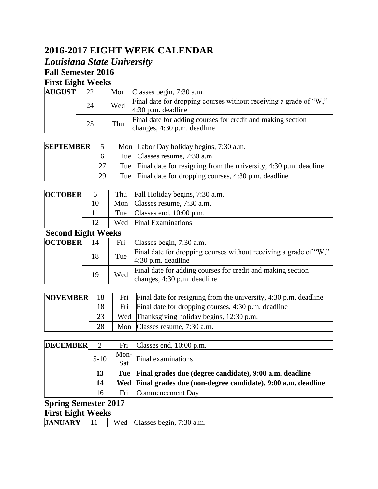## **2016-2017 EIGHT WEEK CALENDAR**

### *Louisiana State University*

### **Fall Semester 2016**

#### **First Eight Weeks**

| <b>AUGUST</b> | 22 |     | Mon Classes begin, 7:30 a.m.                                                               |
|---------------|----|-----|--------------------------------------------------------------------------------------------|
|               | 24 | Wed | Final date for dropping courses without receiving a grade of "W,"<br>4:30 p.m. deadline    |
|               | 25 | Thu | Final date for adding courses for credit and making section<br>changes, 4:30 p.m. deadline |

| <b>SEPTEMBER</b> |    | Mon Labor Day holiday begins, 7:30 a.m.                              |
|------------------|----|----------------------------------------------------------------------|
|                  |    | Tue Classes resume, 7:30 a.m.                                        |
|                  |    | Tue Final date for resigning from the university, 4:30 p.m. deadline |
|                  | 29 | Tue Final date for dropping courses, 4:30 p.m. deadline              |

| <b>OCTOBER</b> | 6 | Thu Fall Holiday begins, 7:30 a.m. |
|----------------|---|------------------------------------|
|                |   | Mon Classes resume, 7:30 a.m.      |
|                |   | Tue Classes end, 10:00 p.m.        |
|                |   | Wed Final Examinations             |

**Second Eight Weeks** 

| <b>OCTOBER</b> | 14 | Fri | Classes begin, 7:30 a.m.                                                                   |
|----------------|----|-----|--------------------------------------------------------------------------------------------|
|                | 18 | Tue | Final date for dropping courses without receiving a grade of "W,"<br>4:30 p.m. deadline    |
|                | 19 | Wed | Final date for adding courses for credit and making section<br>changes, 4:30 p.m. deadline |

| <b>NOVEMBER</b> | 18 | Fri Final date for resigning from the university, 4:30 p.m. deadline |
|-----------------|----|----------------------------------------------------------------------|
|                 | 18 | Fri Final date for dropping courses, 4:30 p.m. deadline              |
|                 | 23 | Wed Thanksgiving holiday begins, 12:30 p.m.                          |
|                 | 28 | Mon Classes resume, 7:30 a.m.                                        |

| <b>DECEMBER</b> | 2        | Fri         | Classes end, $10:00$ p.m.                                       |
|-----------------|----------|-------------|-----------------------------------------------------------------|
|                 | $5 - 10$ | Mon-<br>Sat | Final examinations                                              |
|                 | 13       |             | Tue Final grades due (degree candidate), 9:00 a.m. deadline     |
|                 | 14       |             | Wed Final grades due (non-degree candidate), 9:00 a.m. deadline |
|                 | 16       | Fri         | <b>Commencement Day</b>                                         |

# **Spring Semester 2017**

#### **First Eight Weeks**

| <b>JANUARY</b><br>Wed<br>$\frac{1}{2}$ 7:30 a.m.<br>Classes begin. |
|--------------------------------------------------------------------|
|--------------------------------------------------------------------|